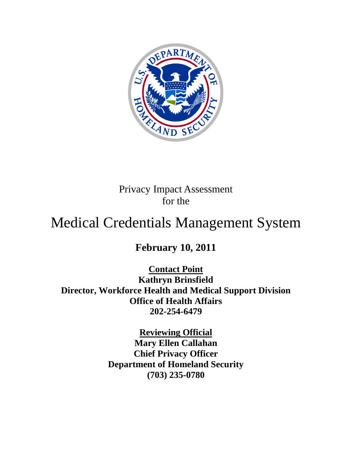

Privacy Impact Assessment for the

# Medical Credentials Management System

**February 10, 2011**

**Contact Point**

**Kathryn Brinsfield Director, Workforce Health and Medical Support Division Office of Health Affairs 202-254-6479**

> **Reviewing Official Mary Ellen Callahan Chief Privacy Officer Department of Homeland Security (703) 235-0780**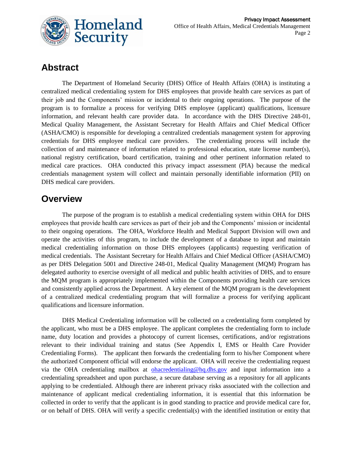

# **Abstract**

The Department of Homeland Security (DHS) Office of Health Affairs (OHA) is instituting a centralized medical credentialing system for DHS employees that provide health care services as part of their job and the Components' mission or incidental to their ongoing operations. The purpose of the program is to formalize a process for verifying DHS employee (applicant) qualifications, licensure information, and relevant health care provider data. In accordance with the DHS Directive 248-01, Medical Quality Management, the Assistant Secretary for Health Affairs and Chief Medical Officer (ASHA/CMO) is responsible for developing a centralized credentials management system for approving credentials for DHS employee medical care providers. The credentialing process will include the collection of and maintenance of information related to professional education, state license number(s), national registry certification, board certification, training and other pertinent information related to medical care practices. OHA conducted this privacy impact assessment (PIA) because the medical credentials management system will collect and maintain personally identifiable information (PII) on DHS medical care providers.

### **Overview**

The purpose of the program is to establish a medical credentialing system within OHA for DHS employees that provide health care services as part of their job and the Components' mission or incidental to their ongoing operations. The OHA, Workforce Health and Medical Support Division will own and operate the activities of this program, to include the development of a database to input and maintain medical credentialing information on those DHS employees (applicants) requesting verification of medical credentials. The Assistant Secretary for Health Affairs and Chief Medical Officer (ASHA/CMO) as per DHS Delegation 5001 and Directive 248-01, Medical Quality Management (MQM) Program has delegated authority to exercise oversight of all medical and public health activities of DHS, and to ensure the MQM program is appropriately implemented within the Components providing health care services and consistently applied across the Department. A key element of the MQM program is the development of a centralized medical credentialing program that will formalize a process for verifying applicant qualifications and licensure information.

DHS Medical Credentialing information will be collected on a credentialing form completed by the applicant, who must be a DHS employee. The applicant completes the credentialing form to include name, duty location and provides a photocopy of current licenses, certifications, and/or registrations relevant to their individual training and status (See Appendix I, EMS or Health Care Provider Credentialing Forms). The applicant then forwards the credentialing form to his/her Component where the authorized Component official will endorse the applicant. OHA will receive the credentialing request via the OHA credentialing mailbox at [ohacredentialing@hq.dhs.gov](mailto:ohacredentialing@hq.dhs.gov) and input information into a credentialing spreadsheet and upon purchase, a secure database serving as a repository for all applicants applying to be credentialed. Although there are inherent privacy risks associated with the collection and maintenance of applicant medical credentialing information, it is essential that this information be collected in order to verify that the applicant is in good standing to practice and provide medical care for, or on behalf of DHS. OHA will verify a specific credential(s) with the identified institution or entity that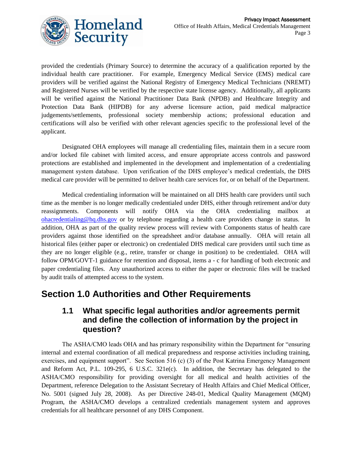

provided the credentials (Primary Source) to determine the accuracy of a qualification reported by the individual health care practitioner. For example, Emergency Medical Service (EMS) medical care providers will be verified against the National Registry of Emergency Medical Technicians (NREMT) and Registered Nurses will be verified by the respective state license agency. Additionally, all applicants will be verified against the National Practitioner Data Bank (NPDB) and Healthcare Integrity and Protection Data Bank (HIPDB) for any adverse licensure action, paid medical malpractice judgements/settlements, professional society membership actions; professional education and certifications will also be verified with other relevant agencies specific to the professional level of the applicant.

Designated OHA employees will manage all credentialing files, maintain them in a secure room and/or locked file cabinet with limited access, and ensure appropriate access controls and password protections are established and implemented in the development and implementation of a credentialing management system database. Upon verification of the DHS employee's medical credentials, the DHS medical care provider will be permitted to deliver health care services for, or on behalf of the Department.

Medical credentialing information will be maintained on all DHS health care providers until such time as the member is no longer medically credentialed under DHS, either through retirement and/or duty reassignments. Components will notify OHA via the OHA credentialing mailbox at [ohacredentialing@hq.dhs.gov](mailto:ohacredentialing@hq.dhs.gov) or by telephone regarding a health care providers change in status. In addition, OHA as part of the quality review process will review with Components status of health care providers against those identified on the spreadsheet and/or database annually. OHA will retain all historical files (either paper or electronic) on credentialed DHS medical care providers until such time as they are no longer eligible (e.g., retire, transfer or change in position) to be credentialed. OHA will follow OPM/GOVT-1 guidance for retention and disposal, items a - c for handling of both electronic and paper credentialing files. Any unauthorized access to either the paper or electronic files will be tracked by audit trails of attempted access to the system.

### **Section 1.0 Authorities and Other Requirements**

### **1.1 What specific legal authorities and/or agreements permit and define the collection of information by the project in question?**

The ASHA/CMO leads OHA and has primary responsibility within the Department for "ensuring internal and external coordination of all medical preparedness and response activities including training, exercises, and equipment support". See Section 516 (c) (3) of the Post Katrina Emergency Management and Reform Act, P.L. 109-295, 6 U.S.C. 321e(c). In addition, the Secretary has delegated to the ASHA/CMO responsibility for providing oversight for all medical and health activities of the Department, reference Delegation to the Assistant Secretary of Health Affairs and Chief Medical Officer, No. 5001 (signed July 28, 2008). As per Directive 248-01, Medical Quality Management (MQM) Program, the ASHA/CMO develops a centralized credentials management system and approves credentials for all healthcare personnel of any DHS Component.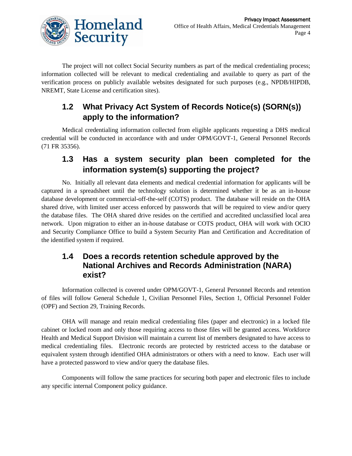

The project will not collect Social Security numbers as part of the medical credentialing process; information collected will be relevant to medical credentialing and available to query as part of the verification process on publicly available websites designated for such purposes (e.g., NPDB/HIPDB, NREMT, State License and certification sites).

### **1.2 What Privacy Act System of Records Notice(s) (SORN(s)) apply to the information?**

Medical credentialing information collected from eligible applicants requesting a DHS medical credential will be conducted in accordance with and under OPM/GOVT-1, General Personnel Records (71 FR 35356).

### **1.3 Has a system security plan been completed for the information system(s) supporting the project?**

No. Initially all relevant data elements and medical credential information for applicants will be captured in a spreadsheet until the technology solution is determined whether it be as an in-house database development or commercial-off-the-self (COTS) product. The database will reside on the OHA shared drive, with limited user access enforced by passwords that will be required to view and/or query the database files. The OHA shared drive resides on the certified and accredited unclassified local area network. Upon migration to either an in-house database or COTS product, OHA will work with OCIO and Security Compliance Office to build a System Security Plan and Certification and Accreditation of the identified system if required.

### **1.4 Does a records retention schedule approved by the National Archives and Records Administration (NARA) exist?**

Information collected is covered under OPM/GOVT-1, General Personnel Records and retention of files will follow General Schedule 1, Civilian Personnel Files, Section 1, Official Personnel Folder (OPF) and Section 29, Training Records.

OHA will manage and retain medical credentialing files (paper and electronic) in a locked file cabinet or locked room and only those requiring access to those files will be granted access. Workforce Health and Medical Support Division will maintain a current list of members designated to have access to medical credentialing files. Electronic records are protected by restricted access to the database or equivalent system through identified OHA administrators or others with a need to know. Each user will have a protected password to view and/or query the database files.

Components will follow the same practices for securing both paper and electronic files to include any specific internal Component policy guidance.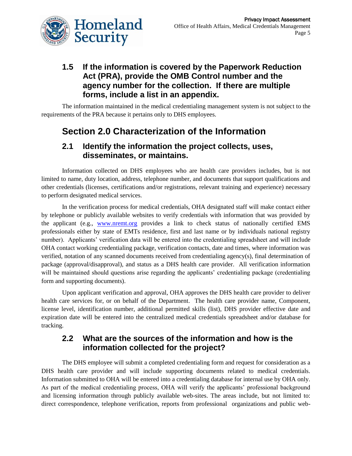

### **1.5 If the information is covered by the Paperwork Reduction Act (PRA), provide the OMB Control number and the agency number for the collection. If there are multiple forms, include a list in an appendix.**

The information maintained in the medical credentialing management system is not subject to the requirements of the PRA because it pertains only to DHS employees.

# **Section 2.0 Characterization of the Information**

#### **2.1 Identify the information the project collects, uses, disseminates, or maintains.**

Information collected on DHS employees who are health care providers includes, but is not limited to name, duty location, address, telephone number, and documents that support qualifications and other credentials (licenses, certifications and/or registrations, relevant training and experience) necessary to perform designated medical services.

In the verification process for medical credentials, OHA designated staff will make contact either by telephone or publicly available websites to verify credentials with information that was provided by the applicant (e.g., [www.nremt.org](http://www.nremt.org/) provides a link to check status of nationally certified EMS professionals either by state of EMTs residence, first and last name or by individuals national registry number). Applicants' verification data will be entered into the credentialing spreadsheet and will include OHA contact working credentialing package, verification contacts, date and times, where information was verified, notation of any scanned documents received from credentialing agency(s), final determination of package (approval/disapproval), and status as a DHS health care provider. All verification information will be maintained should questions arise regarding the applicants' credentialing package (credentialing form and supporting documents).

Upon applicant verification and approval, OHA approves the DHS health care provider to deliver health care services for, or on behalf of the Department. The health care provider name, Component, license level, identification number, additional permitted skills (list), DHS provider effective date and expiration date will be entered into the centralized medical credentials spreadsheet and/or database for tracking.

### **2.2 What are the sources of the information and how is the information collected for the project?**

The DHS employee will submit a completed credentialing form and request for consideration as a DHS health care provider and will include supporting documents related to medical credentials. Information submitted to OHA will be entered into a credentialing database for internal use by OHA only. As part of the medical credentialing process, OHA will verify the applicants' professional background and licensing information through publicly available web-sites. The areas include, but not limited to: direct correspondence, telephone verification, reports from professional organizations and public web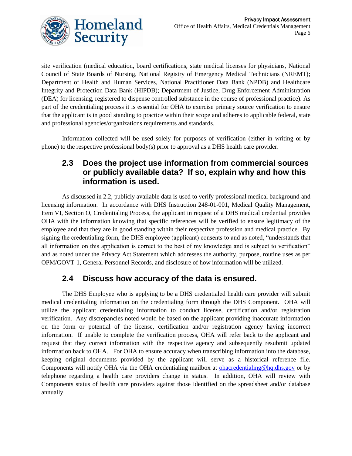site verification (medical education, board certifications, state medical licenses for physicians, National Council of State Boards of Nursing, National Registry of Emergency Medical Technicians (NREMT); Department of Health and Human Services, National Practitioner Data Bank (NPDB) and Healthcare Integrity and Protection Data Bank (HIPDB); Department of Justice, Drug Enforcement Administration (DEA) for licensing, registered to dispense controlled substance in the course of professional practice). As part of the credentialing process it is essential for OHA to exercise primary source verification to ensure that the applicant is in good standing to practice within their scope and adheres to applicable federal, state and professional agencies/organizations requirements and standards.

Information collected will be used solely for purposes of verification (either in writing or by phone) to the respective professional body(s) prior to approval as a DHS health care provider.

### **2.3 Does the project use information from commercial sources or publicly available data? If so, explain why and how this information is used.**

As discussed in 2.2, publicly available data is used to verify professional medical background and licensing information. In accordance with DHS Instruction 248-01-001, Medical Quality Management, Item VI, Section O, Credentialing Process, the applicant in request of a DHS medical credential provides OHA with the information knowing that specific references will be verified to ensure legitimacy of the employee and that they are in good standing within their respective profession and medical practice. By signing the credentialing form, the DHS employee (applicant) consents to and as noted, "understands that all information on this application is correct to the best of my knowledge and is subject to verification" and as noted under the Privacy Act Statement which addresses the authority, purpose, routine uses as per OPM/GOVT-1, General Personnel Records, and disclosure of how information will be utilized.

### **2.4 Discuss how accuracy of the data is ensured.**

The DHS Employee who is applying to be a DHS credentialed health care provider will submit medical credentialing information on the credentialing form through the DHS Component. OHA will utilize the applicant credentialing information to conduct license, certification and/or registration verification. Any discrepancies noted would be based on the applicant providing inaccurate information on the form or potential of the license, certification and/or registration agency having incorrect information. If unable to complete the verification process, OHA will refer back to the applicant and request that they correct information with the respective agency and subsequently resubmit updated information back to OHA. For OHA to ensure accuracy when transcribing information into the database, keeping original documents provided by the applicant will serve as a historical reference file. Components will notify OHA via the OHA credentialing mailbox at [ohacredentialing@hq.dhs.gov](mailto:ohacredentialing@hq.dhs.gov) or by telephone regarding a health care providers change in status. In addition, OHA will review with Components status of health care providers against those identified on the spreadsheet and/or database annually.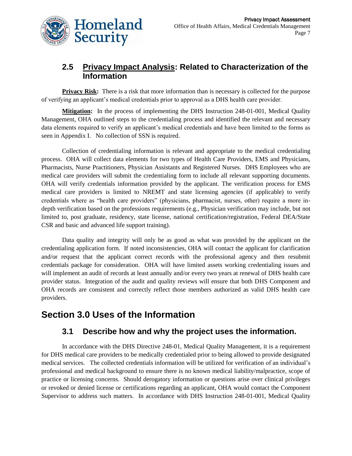

### **2.5 Privacy Impact Analysis: Related to Characterization of the Information**

**Privacy Risk:** There is a risk that more information than is necessary is collected for the purpose of verifying an applicant's medical credentials prior to approval as a DHS health care provider.

**Mitigation:** In the process of implementing the DHS Instruction 248-01-001, Medical Quality Management, OHA outlined steps to the credentialing process and identified the relevant and necessary data elements required to verify an applicant's medical credentials and have been limited to the forms as seen in Appendix I. No collection of SSN is required.

Collection of credentialing information is relevant and appropriate to the medical credentialing process. OHA will collect data elements for two types of Health Care Providers, EMS and Physicians, Pharmacists, Nurse Practitioners, Physician Assistants and Registered Nurses. DHS Employees who are medical care providers will submit the credentialing form to include all relevant supporting documents. OHA will verify credentials information provided by the applicant. The verification process for EMS medical care providers is limited to NREMT and state licensing agencies (if applicable) to verify credentials where as "health care providers" (physicians, pharmacist, nurses, other) require a more indepth verification based on the professions requirements (e.g., Physician verification may include, but not limited to, post graduate, residency, state license, national certification/registration, Federal DEA/State CSR and basic and advanced life support training).

Data quality and integrity will only be as good as what was provided by the applicant on the credentialing application form. If noted inconsistencies, OHA will contact the applicant for clarification and/or request that the applicant correct records with the professional agency and then resubmit credentials package for consideration. OHA will have limited assets working credentialing issues and will implement an audit of records at least annually and/or every two years at renewal of DHS health care provider status. Integration of the audit and quality reviews will ensure that both DHS Component and OHA records are consistent and correctly reflect those members authorized as valid DHS health care providers.

# **Section 3.0 Uses of the Information**

### **3.1 Describe how and why the project uses the information.**

In accordance with the DHS Directive 248-01, Medical Quality Management, it is a requirement for DHS medical care providers to be medically credentialed prior to being allowed to provide designated medical services. The collected credentials information will be utilized for verification of an individual's professional and medical background to ensure there is no known medical liability/malpractice, scope of practice or licensing concerns. Should derogatory information or questions arise over clinical privileges or revoked or denied license or certifications regarding an applicant, OHA would contact the Component Supervisor to address such matters. In accordance with DHS Instruction 248-01-001, Medical Quality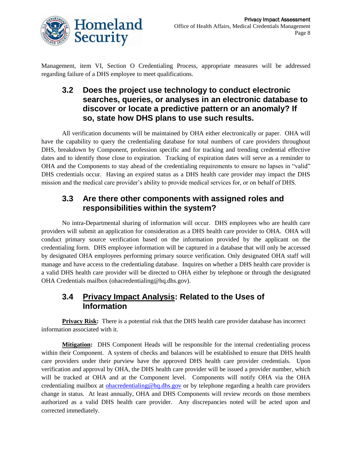

Management, item VI, Section O Credentialing Process, appropriate measures will be addressed regarding failure of a DHS employee to meet qualifications.

### **3.2 Does the project use technology to conduct electronic searches, queries, or analyses in an electronic database to discover or locate a predictive pattern or an anomaly? If so, state how DHS plans to use such results.**

All verification documents will be maintained by OHA either electronically or paper. OHA will have the capability to query the credentialing database for total numbers of care providers throughout DHS, breakdown by Component, profession specific and for tracking and trending credential effective dates and to identify those close to expiration. Tracking of expiration dates will serve as a reminder to OHA and the Components to stay ahead of the credentialing requirements to ensure no lapses in "valid" DHS credentials occur. Having an expired status as a DHS health care provider may impact the DHS mission and the medical care provider's ability to provide medical services for, or on behalf of DHS.

### **3.3 Are there other components with assigned roles and responsibilities within the system?**

No intra-Departmental sharing of information will occur. DHS employees who are health care providers will submit an application for consideration as a DHS health care provider to OHA. OHA will conduct primary source verification based on the information provided by the applicant on the credentialing form. DHS employee information will be captured in a database that will only be accessed by designated OHA employees performing primary source verification. Only designated OHA staff will manage and have access to the credentialing database. Inquires on whether a DHS health care provider is a valid DHS health care provider will be directed to OHA either by telephone or through the designated OHA Credentials mailbox (ohacredentialing@hq.dhs.gov).

### **3.4 Privacy Impact Analysis: Related to the Uses of Information**

**Privacy Risk:** There is a potential risk that the DHS health care provider database has incorrect information associated with it.

**Mitigation:** DHS Component Heads will be responsible for the internal credentialing process within their Component. A system of checks and balances will be established to ensure that DHS health care providers under their purview have the approved DHS health care provider credentials. Upon verification and approval by OHA, the DHS health care provider will be issued a provider number, which will be tracked at OHA and at the Component level. Components will notify OHA via the OHA credentialing mailbox at **ohacredentialing@hq.dhs.gov** or by telephone regarding a health care providers change in status. At least annually, OHA and DHS Components will review records on those members authorized as a valid DHS health care provider. Any discrepancies noted will be acted upon and corrected immediately.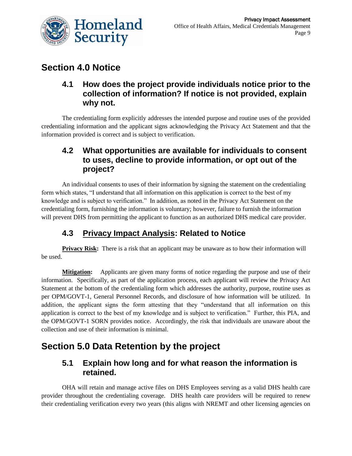

# **Section 4.0 Notice**

### **4.1 How does the project provide individuals notice prior to the collection of information? If notice is not provided, explain why not.**

The credentialing form explicitly addresses the intended purpose and routine uses of the provided credentialing information and the applicant signs acknowledging the Privacy Act Statement and that the information provided is correct and is subject to verification.

### **4.2 What opportunities are available for individuals to consent to uses, decline to provide information, or opt out of the project?**

An individual consents to uses of their information by signing the statement on the credentialing form which states, "I understand that all information on this application is correct to the best of my knowledge and is subject to verification." In addition, as noted in the Privacy Act Statement on the credentialing form, furnishing the information is voluntary; however, failure to furnish the information will prevent DHS from permitting the applicant to function as an authorized DHS medical care provider.

# **4.3 Privacy Impact Analysis: Related to Notice**

**Privacy Risk:** There is a risk that an applicant may be unaware as to how their information will be used.

**Mitigation:** Applicants are given many forms of notice regarding the purpose and use of their information. Specifically, as part of the application process, each applicant will review the Privacy Act Statement at the bottom of the credentialing form which addresses the authority, purpose, routine uses as per OPM/GOVT-1, General Personnel Records, and disclosure of how information will be utilized. In addition, the applicant signs the form attesting that they "understand that all information on this application is correct to the best of my knowledge and is subject to verification." Further, this PIA, and the OPM/GOVT-1 SORN provides notice. Accordingly, the risk that individuals are unaware about the collection and use of their information is minimal.

# **Section 5.0 Data Retention by the project**

### **5.1 Explain how long and for what reason the information is retained.**

OHA will retain and manage active files on DHS Employees serving as a valid DHS health care provider throughout the credentialing coverage. DHS health care providers will be required to renew their credentialing verification every two years (this aligns with NREMT and other licensing agencies on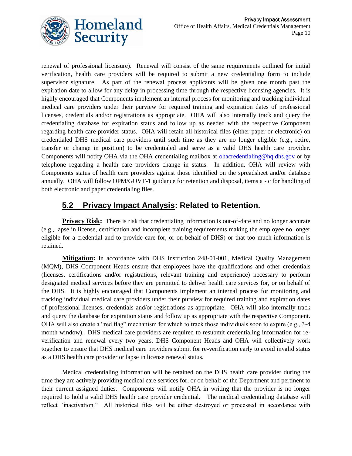

renewal of professional licensure). Renewal will consist of the same requirements outlined for initial verification, health care providers will be required to submit a new credentialing form to include supervisor signature. As part of the renewal process applicants will be given one month past the expiration date to allow for any delay in processing time through the respective licensing agencies. It is highly encouraged that Components implement an internal process for monitoring and tracking individual medical care providers under their purview for required training and expiration dates of professional licenses, credentials and/or registrations as appropriate. OHA will also internally track and query the credentialing database for expiration status and follow up as needed with the respective Component regarding health care provider status. OHA will retain all historical files (either paper or electronic) on credentialed DHS medical care providers until such time as they are no longer eligible (e.g., retire, transfer or change in position) to be credentialed and serve as a valid DHS health care provider. Components will notify OHA via the OHA credentialing mailbox at [ohacredentialing@hq.dhs.gov](mailto:ohacredentialing@hq.dhs.gov) or by telephone regarding a health care providers change in status. In addition, OHA will review with Components status of health care providers against those identified on the spreadsheet and/or database annually. OHA will follow OPM/GOVT-1 guidance for retention and disposal, items a - c for handling of both electronic and paper credentialing files.

### **5.2 Privacy Impact Analysis: Related to Retention.**

Privacy Risk: There is risk that credentialing information is out-of-date and no longer accurate (e.g., lapse in license, certification and incomplete training requirements making the employee no longer eligible for a credential and to provide care for, or on behalf of DHS) or that too much information is retained.

**Mitigation:** In accordance with DHS Instruction 248-01-001, Medical Quality Management (MQM), DHS Component Heads ensure that employees have the qualifications and other credentials (licenses, certifications and/or registrations, relevant training and experience) necessary to perform designated medical services before they are permitted to deliver health care services for, or on behalf of the DHS. It is highly encouraged that Components implement an internal process for monitoring and tracking individual medical care providers under their purview for required training and expiration dates of professional licenses, credentials and/or registrations as appropriate. OHA will also internally track and query the database for expiration status and follow up as appropriate with the respective Component. OHA will also create a "red flag" mechanism for which to track those individuals soon to expire (e.g., 3-4 month window). DHS medical care providers are required to resubmit credentialing information for reverification and renewal every two years. DHS Component Heads and OHA will collectively work together to ensure that DHS medical care providers submit for re-verification early to avoid invalid status as a DHS health care provider or lapse in license renewal status.

Medical credentialing information will be retained on the DHS health care provider during the time they are actively providing medical care services for, or on behalf of the Department and pertinent to their current assigned duties. Components will notify OHA in writing that the provider is no longer required to hold a valid DHS health care provider credential. The medical credentialing database will reflect "inactivation." All historical files will be either destroyed or processed in accordance with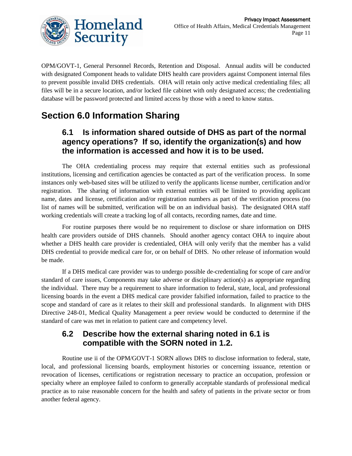

OPM/GOVT-1, General Personnel Records, Retention and Disposal. Annual audits will be conducted with designated Component heads to validate DHS health care providers against Component internal files to prevent possible invalid DHS credentials. OHA will retain only active medical credentialing files; all files will be in a secure location, and/or locked file cabinet with only designated access; the credentialing database will be password protected and limited access by those with a need to know status.

# **Section 6.0 Information Sharing**

### **6.1 Is information shared outside of DHS as part of the normal agency operations? If so, identify the organization(s) and how the information is accessed and how it is to be used.**

The OHA credentialing process may require that external entities such as professional institutions, licensing and certification agencies be contacted as part of the verification process. In some instances only web-based sites will be utilized to verify the applicants license number, certification and/or registration. The sharing of information with external entities will be limited to providing applicant name, dates and license, certification and/or registration numbers as part of the verification process (no list of names will be submitted, verification will be on an individual basis). The designated OHA staff working credentials will create a tracking log of all contacts, recording names, date and time.

For routine purposes there would be no requirement to disclose or share information on DHS health care providers outside of DHS channels. Should another agency contact OHA to inquire about whether a DHS health care provider is credentialed, OHA will only verify that the member has a valid DHS credential to provide medical care for, or on behalf of DHS. No other release of information would be made.

If a DHS medical care provider was to undergo possible de-credentialing for scope of care and/or standard of care issues, Components may take adverse or disciplinary action(s) as appropriate regarding the individual. There may be a requirement to share information to federal, state, local, and professional licensing boards in the event a DHS medical care provider falsified information, failed to practice to the scope and standard of care as it relates to their skill and professional standards. In alignment with DHS Directive 248-01, Medical Quality Management a peer review would be conducted to determine if the standard of care was met in relation to patient care and competency level.

### **6.2 Describe how the external sharing noted in 6.1 is compatible with the SORN noted in 1.2.**

Routine use ii of the OPM/GOVT-1 SORN allows DHS to disclose information to federal, state, local, and professional licensing boards, employment histories or concerning issuance, retention or revocation of licenses, certifications or registration necessary to practice an occupation, profession or specialty where an employee failed to conform to generally acceptable standards of professional medical practice as to raise reasonable concern for the health and safety of patients in the private sector or from another federal agency.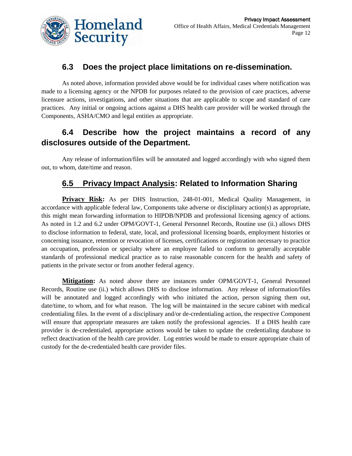

### **6.3 Does the project place limitations on re-dissemination.**

As noted above, information provided above would be for individual cases where notification was made to a licensing agency or the NPDB for purposes related to the provision of care practices, adverse licensure actions, investigations, and other situations that are applicable to scope and standard of care practices. Any initial or ongoing actions against a DHS health care provider will be worked through the Components, ASHA/CMO and legal entities as appropriate.

### **6.4 Describe how the project maintains a record of any disclosures outside of the Department.**

Any release of information/files will be annotated and logged accordingly with who signed them out, to whom, date/time and reason.

### **6.5 Privacy Impact Analysis: Related to Information Sharing**

**Privacy Risk:** As per DHS Instruction, 248-01-001, Medical Quality Management, in accordance with applicable federal law, Components take adverse or disciplinary action(s) as appropriate, this might mean forwarding information to HIPDB/NPDB and professional licensing agency of actions. As noted in 1.2 and 6.2 under OPM/GOVT-1, General Personnel Records, Routine use (ii.) allows DHS to disclose information to federal, state, local, and professional licensing boards, employment histories or concerning issuance, retention or revocation of licenses, certifications or registration necessary to practice an occupation, profession or specialty where an employee failed to conform to generally acceptable standards of professional medical practice as to raise reasonable concern for the health and safety of patients in the private sector or from another federal agency.

**Mitigation:** As noted above there are instances under OPM/GOVT-1, General Personnel Records, Routine use (ii.) which allows DHS to disclose information. Any release of information/files will be annotated and logged accordingly with who initiated the action, person signing them out, date/time, to whom, and for what reason. The log will be maintained in the secure cabinet with medical credentialing files. In the event of a disciplinary and/or de-credentialing action, the respective Component will ensure that appropriate measures are taken notify the professional agencies. If a DHS health care provider is de-credentialed, appropriate actions would be taken to update the credentialing database to reflect deactivation of the health care provider. Log entries would be made to ensure appropriate chain of custody for the de-credentialed health care provider files.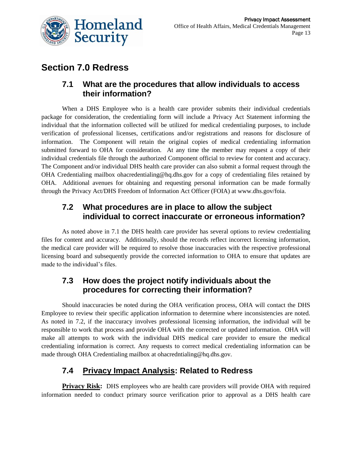

# **Section 7.0 Redress**

#### **7.1 What are the procedures that allow individuals to access their information?**

When a DHS Employee who is a health care provider submits their individual credentials package for consideration, the credentialing form will include a Privacy Act Statement informing the individual that the information collected will be utilized for medical credentialing purposes, to include verification of professional licenses, certifications and/or registrations and reasons for disclosure of information. The Component will retain the original copies of medical credentialing information submitted forward to OHA for consideration. At any time the member may request a copy of their individual credentials file through the authorized Component official to review for content and accuracy. The Component and/or individual DHS health care provider can also submit a formal request through the OHA Credentialing mailbox ohacredentialing@hq.dhs.gov for a copy of credentialing files retained by OHA. Additional avenues for obtaining and requesting personal information can be made formally through the Privacy Act/DHS Freedom of Information Act Officer (FOIA) at www.dhs.gov/foia.

### **7.2 What procedures are in place to allow the subject individual to correct inaccurate or erroneous information?**

As noted above in 7.1 the DHS health care provider has several options to review credentialing files for content and accuracy. Additionally, should the records reflect incorrect licensing information, the medical care provider will be required to resolve those inaccuracies with the respective professional licensing board and subsequently provide the corrected information to OHA to ensure that updates are made to the individual's files.

### **7.3 How does the project notify individuals about the procedures for correcting their information?**

Should inaccuracies be noted during the OHA verification process, OHA will contact the DHS Employee to review their specific application information to determine where inconsistencies are noted. As noted in 7.2, if the inaccuracy involves professional licensing information, the individual will be responsible to work that process and provide OHA with the corrected or updated information. OHA will make all attempts to work with the individual DHS medical care provider to ensure the medical credentialing information is correct. Any requests to correct medical credentialing information can be made through OHA Credentialing mailbox at ohacredntialing@hq.dhs.gov.

### **7.4 Privacy Impact Analysis: Related to Redress**

**Privacy Risk:** DHS employees who are health care providers will provide OHA with required information needed to conduct primary source verification prior to approval as a DHS health care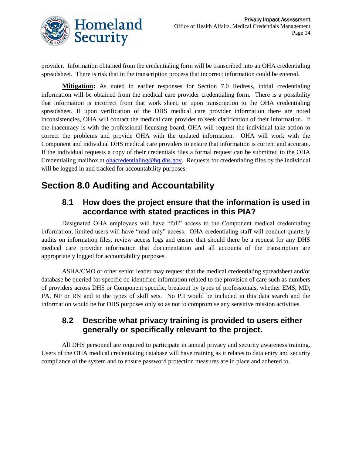

provider. Information obtained from the credentialing form will be transcribed into an OHA credentialing spreadsheet. There is risk that in the transcription process that incorrect information could be entered.

**Mitigation:** As noted in earlier responses for Section 7.0 Redress, initial credentialing information will be obtained from the medical care provider credentialing form. There is a possibility that information is incorrect from that work sheet, or upon transcription to the OHA credentialing spreadsheet. If upon verification of the DHS medical care provider information there are noted inconsistencies, OHA will contact the medical care provider to seek clarification of their information. If the inaccuracy is with the professional licensing board, OHA will request the individual take action to correct the problems and provide OHA with the updated information. OHA will work with the Component and individual DHS medical care providers to ensure that information is current and accurate. If the individual requests a copy of their credentials files a formal request can be submitted to the OHA Credentialing mailbox at [ohacredentialing@hq.dhs.gov.](mailto:ohacredentialing@hq.dhs.gov) Requests for credentialing files by the individual will be logged in and tracked for accountability purposes.

# **Section 8.0 Auditing and Accountability**

### **8.1 How does the project ensure that the information is used in accordance with stated practices in this PIA?**

Designated OHA employees will have "full" access to the Component medical credentialing information; limited users will have "read-only" access. OHA credentialing staff will conduct quarterly audits on information files, review access logs and ensure that should there be a request for any DHS medical care provider information that documentation and all accounts of the transcription are appropriately logged for accountability purposes.

ASHA/CMO or other senior leader may request that the medical credentialing spreadsheet and/or database be queried for specific de-identified information related to the provision of care such as numbers of providers across DHS or Component specific, breakout by types of professionals, whether EMS, MD, PA, NP or RN and to the types of skill sets. No PII would be included in this data search and the information would be for DHS purposes only so as not to compromise any sensitive mission activities.

### **8.2 Describe what privacy training is provided to users either generally or specifically relevant to the project.**

All DHS personnel are required to participate in annual privacy and security awareness training. Users of the OHA medical credentialing database will have training as it relates to data entry and security compliance of the system and to ensure password protection measures are in place and adhered to.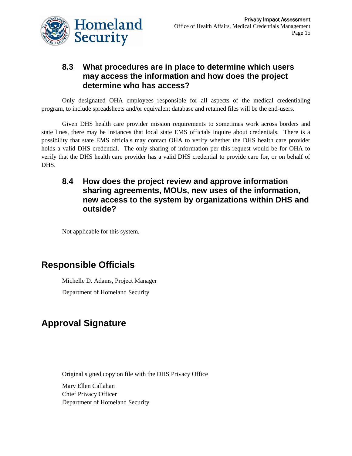

### **8.3 What procedures are in place to determine which users may access the information and how does the project determine who has access?**

Only designated OHA employees responsible for all aspects of the medical credentialing program, to include spreadsheets and/or equivalent database and retained files will be the end-users.

Given DHS health care provider mission requirements to sometimes work across borders and state lines, there may be instances that local state EMS officials inquire about credentials. There is a possibility that state EMS officials may contact OHA to verify whether the DHS health care provider holds a valid DHS credential. The only sharing of information per this request would be for OHA to verify that the DHS health care provider has a valid DHS credential to provide care for, or on behalf of DHS.

### **8.4 How does the project review and approve information sharing agreements, MOUs, new uses of the information, new access to the system by organizations within DHS and outside?**

Not applicable for this system.

# **Responsible Officials**

Michelle D. Adams, Project Manager Department of Homeland Security

# **Approval Signature**

Original signed copy on file with the DHS Privacy Office

Mary Ellen Callahan Chief Privacy Officer Department of Homeland Security